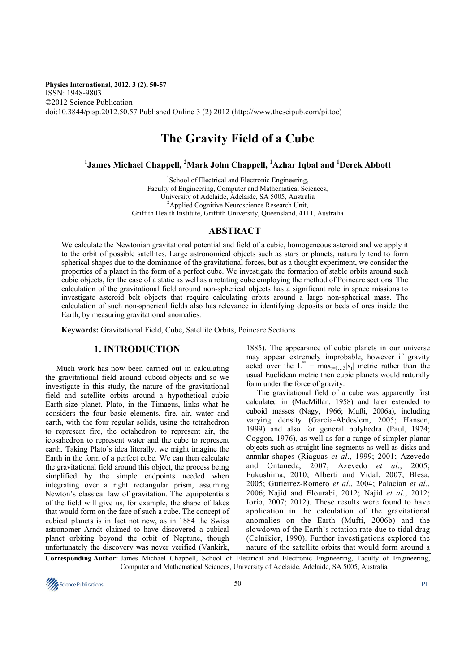#### **Physics International, 2012, 3 (2), 50-57**  ISSN: 1948-9803 ©2012 Science Publication doi:10.3844/pisp.2012.50.57 Published Online 3 (2) 2012 (http://www.thescipub.com/pi.toc)

# **The Gravity Field of a Cube**

# **1 James Michael Chappell, <sup>2</sup>Mark John Chappell, <sup>1</sup>Azhar Iqbal and <sup>1</sup>Derek Abbott**

<sup>1</sup>School of Electrical and Electronic Engineering, Faculty of Engineering, Computer and Mathematical Sciences, University of Adelaide, Adelaide, SA 5005, Australia <sup>2</sup>Applied Cognitive Neuroscience Research Unit, Griffith Health Institute, Griffith University, Queensland, 4111, Australia

## **ABSTRACT**

We calculate the Newtonian gravitational potential and field of a cubic, homogeneous asteroid and we apply it to the orbit of possible satellites. Large astronomical objects such as stars or planets, naturally tend to form spherical shapes due to the dominance of the gravitational forces, but as a thought experiment, we consider the properties of a planet in the form of a perfect cube. We investigate the formation of stable orbits around such cubic objects, for the case of a static as well as a rotating cube employing the method of Poincare sections. The calculation of the gravitational field around non-spherical objects has a significant role in space missions to investigate asteroid belt objects that require calculating orbits around a large non-spherical mass. The calculation of such non-spherical fields also has relevance in identifying deposits or beds of ores inside the Earth, by measuring gravitational anomalies.

**Keywords:** Gravitational Field, Cube, Satellite Orbits, Poincare Sections

# **1. INTRODUCTION**

Much work has now been carried out in calculating the gravitational field around cuboid objects and so we investigate in this study, the nature of the gravitational field and satellite orbits around a hypothetical cubic Earth-size planet. Plato, in the Timaeus, links what he considers the four basic elements, fire, air, water and earth, with the four regular solids, using the tetrahedron to represent fire, the octahedron to represent air, the icosahedron to represent water and the cube to represent earth. Taking Plato's idea literally, we might imagine the Earth in the form of a perfect cube. We can then calculate the gravitational field around this object, the process being simplified by the simple endpoints needed when integrating over a right rectangular prism, assuming Newton's classical law of gravitation. The equipotentials of the field will give us, for example, the shape of lakes that would form on the face of such a cube. The concept of cubical planets is in fact not new, as in 1884 the Swiss astronomer Arndt claimed to have discovered a cubical planet orbiting beyond the orbit of Neptune, though unfortunately the discovery was never verified (Vankirk,

1885). The appearance of cubic planets in our universe may appear extremely improbable, however if gravity acted over the  $L^{\infty} = \max_{i=1...3} |x_i|$  metric rather than the usual Euclidean metric then cubic planets would naturally form under the force of gravity.

The gravitational field of a cube was apparently first calculated in (MacMillan, 1958) and later extended to cuboid masses (Nagy, 1966; Mufti, 2006a), including varying density (Garcia-Abdeslem, 2005; Hansen, 1999) and also for general polyhedra (Paul, 1974; Coggon, 1976), as well as for a range of simpler planar objects such as straight line segments as well as disks and annular shapes (Riaguas *et al*., 1999; 2001; Azevedo and Ontaneda, 2007; Azevedo *et al*., 2005; Fukushima, 2010; Alberti and Vidal, 2007; Blesa, 2005; Gutierrez-Romero *et al*., 2004; Palacian *et al*., 2006; Najid and Elourabi, 2012; Najid *et al*., 2012; Iorio, 2007; 2012). These results were found to have application in the calculation of the gravitational anomalies on the Earth (Mufti, 2006b) and the slowdown of the Earth's rotation rate due to tidal drag (Celnikier, 1990). Further investigations explored the nature of the satellite orbits that would form around a

**Corresponding Author:** James Michael Chappell, School of Electrical and Electronic Engineering, Faculty of Engineering, Computer and Mathematical Sciences, University of Adelaide, Adelaide, SA 5005, Australia

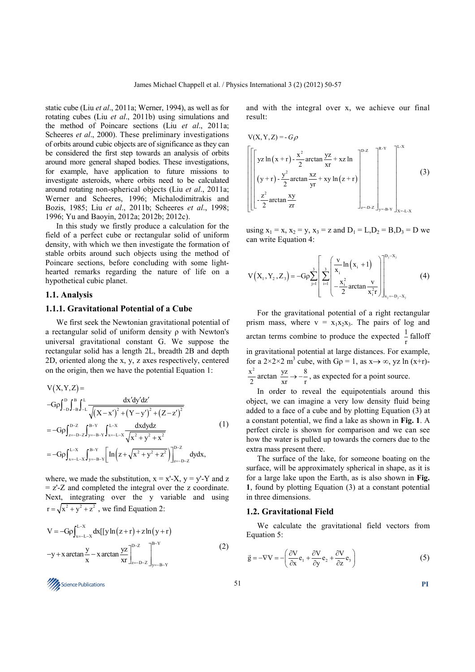static cube (Liu *et al*., 2011a; Werner, 1994), as well as for rotating cubes (Liu *et al*., 2011b) using simulations and the method of Poincare sections (Liu *et al*., 2011a; Scheeres *et al.*, 2000). These preliminary investigations of orbits around cubic objects are of significance as they can be considered the first step towards an analysis of orbits around more general shaped bodies. These investigations, for example, have application to future missions to investigate asteroids, where orbits need to be calculated around rotating non-spherical objects (Liu *et al*., 2011a; Werner and Scheeres, 1996; Michalodimitrakis and Bozis, 1985; Liu *et al*., 2011b; Scheeres *et al*., 1998; 1996; Yu and Baoyin, 2012a; 2012b; 2012c).

In this study we firstly produce a calculation for the field of a perfect cube or rectangular solid of uniform density, with which we then investigate the formation of stable orbits around such objects using the method of Poincare sections, before concluding with some lighthearted remarks regarding the nature of life on a hypothetical cubic planet.

### **1.1. Analysis**

#### **1.1.1. Gravitational Potential of a Cube**

We first seek the Newtonian gravitational potential of a rectangular solid of uniform density ρ with Newton's universal gravitational constant G. We suppose the rectangular solid has a length 2L, breadth 2B and depth 2D, oriented along the x, y, z axes respectively, centered on the origin, then we have the potential Equation 1:

$$
V(X,Y,Z) =
$$
  
\n
$$
-G\rho \int_{-D}^{D} \int_{-B}^{B} \int_{-L}^{L} \frac{dx'dy'dz'}{\sqrt{(X-x')^{2} + (Y-y')^{2} + (Z-z')^{2}}}
$$
  
\n
$$
= -G\rho \int_{z=-D-Z}^{D-Z} \int_{y=-B-Y}^{B-Y} \int_{x=-L-X}^{L-X} \frac{dxdydz}{\sqrt{x^{2} + y^{2} + x^{2}}}
$$
  
\n
$$
= -G\rho \int_{x=-L-X}^{L-X} \int_{y=-B-Y}^{B-Y} \left[ \ln \left( z + \sqrt{x^{2} + y^{2} + z^{2}} \right) \right]_{z=-D-Z}^{D-Z} dydx,
$$
\n(1)

where, we made the substitution,  $x = x'-X$ ,  $y = y'-Y$  and z = z'-Z and completed the integral over the z coordinate. Next, integrating over the y variable and using  $r = \sqrt{x^2 + y^2 + z^2}$ , we find Equation 2:

$$
V = -G\rho \int_{x=-L-X}^{L-X} dx [[y \ln (z+r) + z \ln (y+r)] - y + x \arctan \frac{y}{x} - x \arctan \frac{yz}{xr} \Big|_{x=-D-Z}^{D-Z} \Big|_{y=-B-Y}^{B-Y}
$$
(2)

and with the integral over x, we achieve our final result:

$$
V(X, Y, Z) = -G\rho
$$
  
\n
$$
\left[ \left[ yz \ln(x+r) - \frac{x^2}{2} \arctan \frac{yz}{xr} + xz \ln \right]_{r}^{p-z} \right]_{x=p+Z}^{R-Y}
$$
\n
$$
\left[ \left( y+r \right) - \frac{y^2}{2} \arctan \frac{xz}{yr} + xy \ln(z+r) \right]_{x=p+Z}^{p-z}
$$
\n(3)

using  $x_1 = x$ ,  $x_2 = y$ ,  $x_3 = z$  and  $D_1 = L, D_2 = B, D_3 = D$  we can write Equation 4:

$$
V(X_1, Y_2, Z_3) = -G\rho \sum_{j=1}^3 \left[ \sum_{i=1}^3 \left( \frac{v}{x_i} \ln(x_i + 1) \right) \right]_{x_j = -D_j - x_j}^{D_j - x_j}
$$
(4)

For the gravitational potential of a right rectangular prism mass, where  $v = x_1x_2x_3$ . The pairs of log and arctan terms combine to produce the expected  $\frac{1}{r}$  falloff in gravitational potential at large distances. For example, for a 2×2×2 m<sup>3</sup> cube, with  $G\rho = 1$ , as  $x \rightarrow \infty$ , yz ln (x+r)- $\mathbf{x}^2$  $\frac{y}{2}$  arctan  $\frac{yz}{xr} \to -\frac{8}{r}$ , as expected for a point source.

In order to reveal the equipotentials around this object, we can imagine a very low density fluid being added to a face of a cube and by plotting Equation (3) at a constant potential, we find a lake as shown in **Fig. 1**. A perfect circle is shown for comparison and we can see how the water is pulled up towards the corners due to the extra mass present there.

The surface of the lake, for someone boating on the surface, will be approximately spherical in shape, as it is for a large lake upon the Earth, as is also shown in **Fig. 1**, found by plotting Equation (3) at a constant potential in three dimensions.

#### **1.2. Gravitational Field**

We calculate the gravitational field vectors from Equation 5:

$$
\vec{g} = -\nabla V = -\left(\frac{\partial V}{\partial x}\mathbf{e}_1 + \frac{\partial V}{\partial y}\mathbf{e}_2 + \frac{\partial V}{\partial z}\mathbf{e}_3\right)
$$
(5)

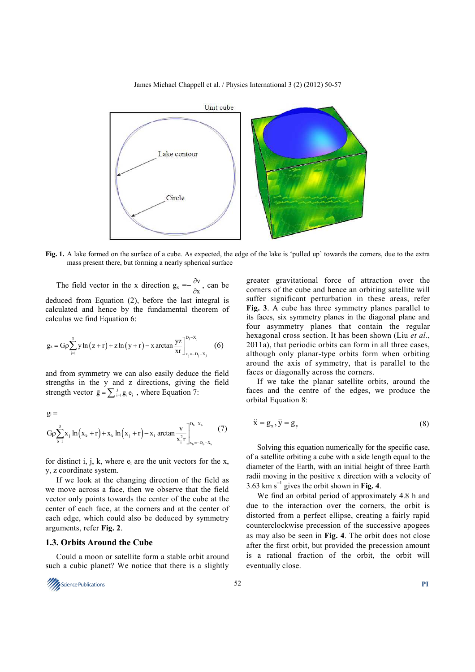James Michael Chappell et al. / Physics International 3 (2) (2012) 50-57



**Fig. 1.** A lake formed on the surface of a cube. As expected, the edge of the lake is 'pulled up' towards the corners, due to the extra mass present there, but forming a nearly spherical surface

The field vector in the x direction  $g_x = -\frac{\partial v}{\partial x}$ x ∂  $\frac{\partial v}{\partial x}$ , can be deduced from Equation (2), before the last integral is calculated and hence by the fundamental theorem of calculus we find Equation 6:

$$
g_{x} = G\rho \sum_{j=1}^{3} y \ln (z+r) + z \ln (y+r) - x \arctan \frac{yz}{xr} \bigg|_{x_{j}=-D_{j}-X_{j}}^{D_{j}-X_{j}} \qquad (6)
$$

and from symmetry we can also easily deduce the field strengths in the y and z directions, giving the field strength vector  $\vec{g} = \sum_{i=1}^{3} g_i e_i$ , where Equation 7:

$$
g_i = \nG\rho \sum_{b=1}^{3} x_j \ln(x_k + r) + x_k \ln(x_j + r) - x_i \arctan \frac{v}{x_i^2 r} \bigg|_{x_b = -D_b - X_b}^{D_b - X_b} \n(7)
$$

for distinct i, j, k, where  $e_i$  are the unit vectors for the x, y, z coordinate system.

If we look at the changing direction of the field as we move across a face, then we observe that the field vector only points towards the center of the cube at the center of each face, at the corners and at the center of each edge, which could also be deduced by symmetry arguments, refer **Fig. 2**.

## **1.3. Orbits Around the Cube**

Could a moon or satellite form a stable orbit around such a cubic planet? We notice that there is a slightly



greater gravitational force of attraction over the corners of the cube and hence an orbiting satellite will suffer significant perturbation in these areas, refer **Fig. 3**. A cube has three symmetry planes parallel to its faces, six symmetry planes in the diagonal plane and four asymmetry planes that contain the regular hexagonal cross section. It has been shown (Liu *et al*., 2011a), that periodic orbits can form in all three cases, although only planar-type orbits form when orbiting around the axis of symmetry, that is parallel to the faces or diagonally across the corners.

If we take the planar satellite orbits, around the faces and the centre of the edges, we produce the orbital Equation 8:

$$
\ddot{\mathbf{x}} = \mathbf{g}_{x}, \ddot{\mathbf{y}} = \mathbf{g}_{y} \tag{8}
$$

Solving this equation numerically for the specific case, of a satellite orbiting a cube with a side length equal to the diameter of the Earth, with an initial height of three Earth radii moving in the positive x direction with a velocity of 3.63 km s<sup>−</sup><sup>1</sup> gives the orbit shown in **Fig. 4**.

We find an orbital period of approximately 4.8 h and due to the interaction over the corners, the orbit is distorted from a perfect ellipse, creating a fairly rapid counterclockwise precession of the successive apogees as may also be seen in **Fig. 4**. The orbit does not close after the first orbit, but provided the precession amount is a rational fraction of the orbit, the orbit will eventually close.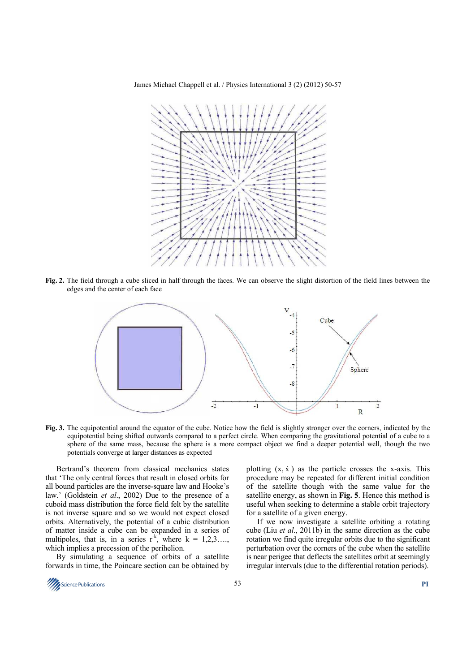James Michael Chappell et al. / Physics International 3 (2) (2012) 50-57



**Fig. 2.** The field through a cube sliced in half through the faces. We can observe the slight distortion of the field lines between the edges and the center of each face



**Fig. 3.** The equipotential around the equator of the cube. Notice how the field is slightly stronger over the corners, indicated by the equipotential being shifted outwards compared to a perfect circle. When comparing the gravitational potential of a cube to a sphere of the same mass, because the sphere is a more compact object we find a deeper potential well, though the two potentials converge at larger distances as expected

Bertrand's theorem from classical mechanics states that 'The only central forces that result in closed orbits for all bound particles are the inverse-square law and Hooke's law.' (Goldstein *et al*., 2002) Due to the presence of a cuboid mass distribution the force field felt by the satellite is not inverse square and so we would not expect closed orbits. Alternatively, the potential of a cubic distribution of matter inside a cube can be expanded in a series of multipoles, that is, in a series  $r^k$ , where  $k = 1,2,3,...$ , which implies a precession of the perihelion.

By simulating a sequence of orbits of a satellite forwards in time, the Poincare section can be obtained by

plotting  $(x, \dot{x})$  as the particle crosses the x-axis. This procedure may be repeated for different initial condition of the satellite though with the same value for the satellite energy, as shown in **Fig. 5**. Hence this method is useful when seeking to determine a stable orbit trajectory for a satellite of a given energy.

If we now investigate a satellite orbiting a rotating cube (Liu *et al*., 2011b) in the same direction as the cube rotation we find quite irregular orbits due to the significant perturbation over the corners of the cube when the satellite is near perigee that deflects the satellites orbit at seemingly irregular intervals (due to the differential rotation periods).

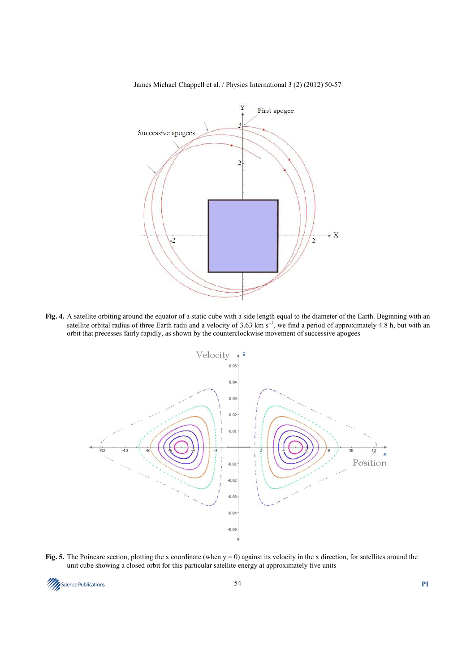



**Fig. 4.** A satellite orbiting around the equator of a static cube with a side length equal to the diameter of the Earth. Beginning with an satellite orbital radius of three Earth radii and a velocity of 3.63 km s<sup>-1</sup>, we find a period of approximately 4.8 h, but with an orbit that precesses fairly rapidly, as shown by the counterclockwise movement of successive apogees



**Fig. 5.** The Poincare section, plotting the x coordinate (when  $y = 0$ ) against its velocity in the x direction, for satellites around the unit cube showing a closed orbit for this particular satellite energy at approximately five units

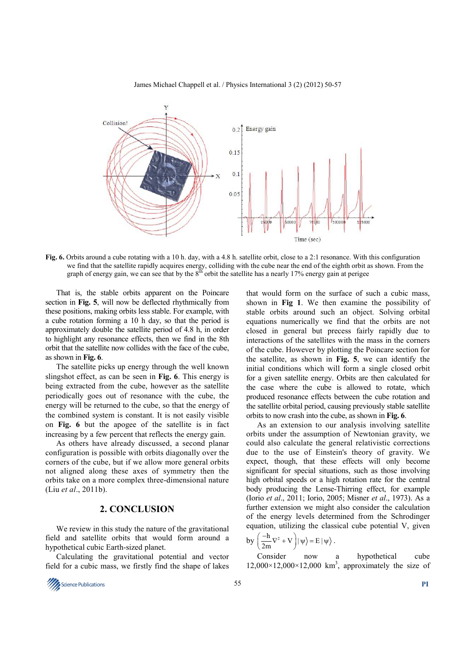James Michael Chappell et al. / Physics International 3 (2) (2012) 50-57



**Fig. 6.** Orbits around a cube rotating with a 10 h. day, with a 4.8 h. satellite orbit, close to a 2:1 resonance. With this configuration we find that the satellite rapidly acquires energy, colliding with the cube near the end of the eighth orbit as shown. From the graph of energy gain, we can see that by the  $8<sup>th</sup>$  orbit the satellite has a nearly 17% energy gain at perigee

That is, the stable orbits apparent on the Poincare section in **Fig. 5**, will now be deflected rhythmically from these positions, making orbits less stable. For example, with a cube rotation forming a 10 h day, so that the period is approximately double the satellite period of 4.8 h, in order to highlight any resonance effects, then we find in the 8th orbit that the satellite now collides with the face of the cube, as shown in **Fig. 6**.

The satellite picks up energy through the well known slingshot effect, as can be seen in **Fig. 6**. This energy is being extracted from the cube, however as the satellite periodically goes out of resonance with the cube, the energy will be returned to the cube, so that the energy of the combined system is constant. It is not easily visible on **Fig. 6** but the apogee of the satellite is in fact increasing by a few percent that reflects the energy gain.

As others have already discussed, a second planar configuration is possible with orbits diagonally over the corners of the cube, but if we allow more general orbits not aligned along these axes of symmetry then the orbits take on a more complex three-dimensional nature (Liu *et al*., 2011b).

## **2. CONCLUSION**

We review in this study the nature of the gravitational field and satellite orbits that would form around a hypothetical cubic Earth-sized planet.

Calculating the gravitational potential and vector field for a cubic mass, we firstly find the shape of lakes



that would form on the surface of such a cubic mass, shown in **Fig 1**. We then examine the possibility of stable orbits around such an object. Solving orbital equations numerically we find that the orbits are not closed in general but precess fairly rapidly due to interactions of the satellites with the mass in the corners of the cube. However by plotting the Poincare section for the satellite, as shown in **Fig. 5**, we can identify the initial conditions which will form a single closed orbit for a given satellite energy. Orbits are then calculated for the case where the cube is allowed to rotate, which produced resonance effects between the cube rotation and the satellite orbital period, causing previously stable satellite orbits to now crash into the cube, as shown in **Fig. 6**.

As an extension to our analysis involving satellite orbits under the assumption of Newtonian gravity, we could also calculate the general relativistic corrections due to the use of Einstein's theory of gravity. We expect, though, that these effects will only become significant for special situations, such as those involving high orbital speeds or a high rotation rate for the central body producing the Lense-Thirring effect, for example (Iorio *et al*., 2011; Iorio, 2005; Misner *et al*., 1973). As a further extension we might also consider the calculation of the energy levels determined from the Schrodinger equation, utilizing the classical cube potential V, given

$$
by \left(\frac{-h}{2m}\nabla^2 + V\right) |\psi\rangle = E |\psi\rangle.
$$

Consider now a hypothetical cube  $12,000\times12,000\times12,000$  km<sup>3</sup>, approximately the size of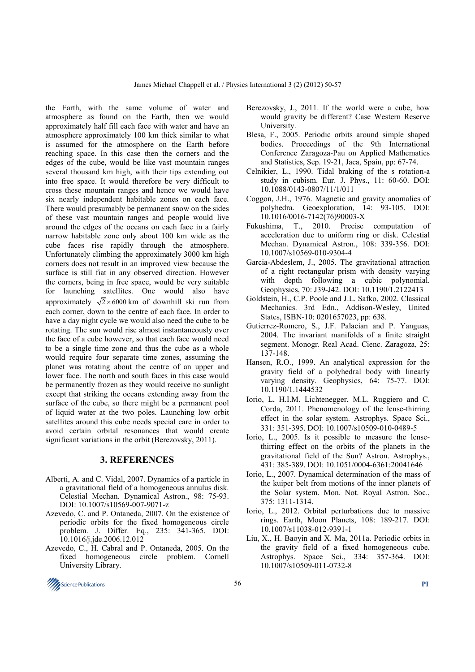the Earth, with the same volume of water and atmosphere as found on the Earth, then we would approximately half fill each face with water and have an atmosphere approximately 100 km thick similar to what is assumed for the atmosphere on the Earth before reaching space. In this case then the corners and the edges of the cube, would be like vast mountain ranges several thousand km high, with their tips extending out into free space. It would therefore be very difficult to cross these mountain ranges and hence we would have six nearly independent habitable zones on each face. There would presumably be permanent snow on the sides of these vast mountain ranges and people would live around the edges of the oceans on each face in a fairly narrow habitable zone only about 100 km wide as the cube faces rise rapidly through the atmosphere. Unfortunately climbing the approximately 3000 km high corners does not result in an improved view because the surface is still fiat in any observed direction. However the corners, being in free space, would be very suitable for launching satellites. One would also have approximately  $\sqrt{2} \times 6000$  km of downhill ski run from each corner, down to the centre of each face. In order to have a day night cycle we would also need the cube to be rotating. The sun would rise almost instantaneously over the face of a cube however, so that each face would need to be a single time zone and thus the cube as a whole would require four separate time zones, assuming the planet was rotating about the centre of an upper and lower face. The north and south faces in this case would be permanently frozen as they would receive no sunlight except that striking the oceans extending away from the surface of the cube, so there might be a permanent pool of liquid water at the two poles. Launching low orbit satellites around this cube needs special care in order to avoid certain orbital resonances that would create significant variations in the orbit (Berezovsky, 2011).

#### **3. REFERENCES**

- Alberti, A. and C. Vidal, 2007. Dynamics of a particle in a gravitational field of a homogeneous annulus disk. Celestial Mechan. Dynamical Astron., 98: 75-93. DOI: 10.1007/s10569-007-9071-z
- Azevedo, C. and P. Ontaneda, 2007. On the existence of periodic orbits for the fixed homogeneous circle problem. J. Differ. Eq., 235: 341-365. DOI: 10.1016/j.jde.2006.12.012
- Azevedo, C., H. Cabral and P. Ontaneda, 2005. On the fixed homogeneous circle problem. Cornell University Library.
- Berezovsky, J., 2011. If the world were a cube, how would gravity be different? Case Western Reserve **University**
- Blesa, F., 2005. Periodic orbits around simple shaped bodies. Proceedings of the 9th International Conference Zaragoza-Pau on Applied Mathematics and Statistics, Sep. 19-21, Jaca, Spain, pp: 67-74.
- Celnikier, L., 1990. Tidal braking of the s rotation-a study in cubism. Eur. J. Phys., 11: 60-60. DOI: 10.1088/0143-0807/11/1/011
- Coggon, J.H., 1976. Magnetic and gravity anomalies of polyhedra. Geoexploration, 14: 93-105. DOI: 10.1016/0016-7142(76)90003-X
- Fukushima, T., 2010. Precise computation of acceleration due to uniform ring or disk. Celestial Mechan. Dynamical Astron., 108: 339-356. DOI: 10.1007/s10569-010-9304-4
- Garcia-Abdeslem, J., 2005. The gravitational attraction of a right rectangular prism with density varying with depth following a cubic polynomial. Geophysics, 70: J39-J42. DOI: 10.1190/1.2122413
- Goldstein, H., C.P. Poole and J.L. Safko, 2002. Classical Mechanics. 3rd Edn., Addison-Wesley, United States, ISBN-10: 0201657023, pp: 638.
- Gutierrez-Romero, S., J.F. Palacian and P. Yanguas, 2004. The invariant manifolds of a finite straight segment. Monogr. Real Acad. Cienc. Zaragoza, 25: 137-148.
- Hansen, R.O., 1999. An analytical expression for the gravity field of a polyhedral body with linearly varying density. Geophysics, 64: 75-77. DOI: 10.1190/1.1444532
- Iorio, L, H.I.M. Lichtenegger, M.L. Ruggiero and C. Corda, 2011. Phenomenology of the lense-thirring effect in the solar system. Astrophys. Space Sci., 331: 351-395. DOI: 10.1007/s10509-010-0489-5
- Iorio, L., 2005. Is it possible to measure the lensethirring effect on the orbits of the planets in the gravitational field of the Sun? Astron. Astrophys., 431: 385-389. DOI: 10.1051/0004-6361:20041646
- Iorio, L., 2007. Dynamical determination of the mass of the kuiper belt from motions of the inner planets of the Solar system. Mon. Not. Royal Astron. Soc., 375: 1311-1314.
- Iorio, L., 2012. Orbital perturbations due to massive rings. Earth, Moon Planets, 108: 189-217. DOI: 10.1007/s11038-012-9391-1
- Liu, X., H. Baoyin and X. Ma, 2011a. Periodic orbits in the gravity field of a fixed homogeneous cube. Astrophys. Space Sci., 334: 357-364. DOI: 10.1007/s10509-011-0732-8